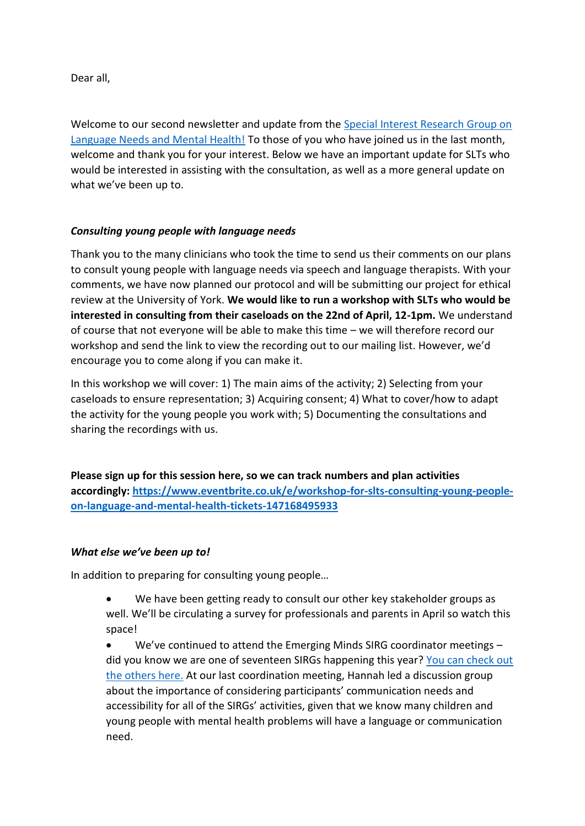Dear all,

Welcome to our second newsletter and update from the [Special Interest Research Group on](https://emergingminds.org.uk/special-interest-research-group-language-and-communication-needs-in-mental-health/)  [Language Needs and Mental Health!](https://emergingminds.org.uk/special-interest-research-group-language-and-communication-needs-in-mental-health/) To those of you who have joined us in the last month, welcome and thank you for your interest. Below we have an important update for SLTs who would be interested in assisting with the consultation, as well as a more general update on what we've been up to.

## *Consulting young people with language needs*

Thank you to the many clinicians who took the time to send us their comments on our plans to consult young people with language needs via speech and language therapists. With your comments, we have now planned our protocol and will be submitting our project for ethical review at the University of York. **We would like to run a workshop with SLTs who would be interested in consulting from their caseloads on the 22nd of April, 12-1pm.** We understand of course that not everyone will be able to make this time – we will therefore record our workshop and send the link to view the recording out to our mailing list. However, we'd encourage you to come along if you can make it.

In this workshop we will cover: 1) The main aims of the activity; 2) Selecting from your caseloads to ensure representation; 3) Acquiring consent; 4) What to cover/how to adapt the activity for the young people you work with; 5) Documenting the consultations and sharing the recordings with us.

**Please sign up for this session here, so we can track numbers and plan activities accordingly: [https://www.eventbrite.co.uk/e/workshop-for-slts-consulting-young-people](https://www.eventbrite.co.uk/e/workshop-for-slts-consulting-young-people-on-language-and-mental-health-tickets-147168495933)[on-language-and-mental-health-tickets-147168495933](https://www.eventbrite.co.uk/e/workshop-for-slts-consulting-young-people-on-language-and-mental-health-tickets-147168495933)**

## *What else we've been up to!*

In addition to preparing for consulting young people…

- We have been getting ready to consult our other key stakeholder groups as well. We'll be circulating a survey for professionals and parents in April so watch this space!
- We've continued to attend the Emerging Minds SIRG coordinator meetings did you know we are one of seventeen SIRGs happening this year? [You can check out](https://emergingminds.org.uk/special-interest-research-groups/)  [the others here.](https://emergingminds.org.uk/special-interest-research-groups/) At our last coordination meeting, Hannah led a discussion group about the importance of considering participants' communication needs and accessibility for all of the SIRGs' activities, given that we know many children and young people with mental health problems will have a language or communication need.